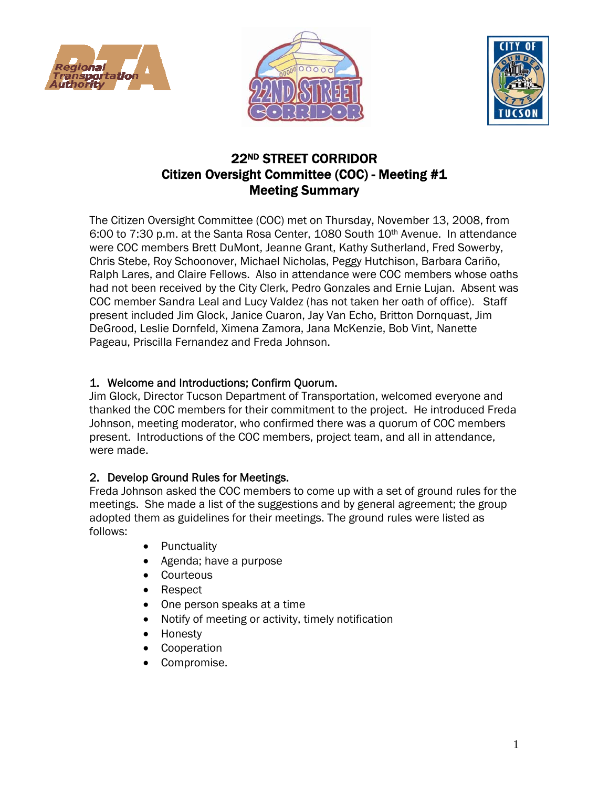





# 22ND STREET CORRIDOR Citizen Oversight Committee (COC) - Meeting #1 Meeting Summary

The Citizen Oversight Committee (COC) met on Thursday, November 13, 2008, from 6:00 to 7:30 p.m. at the Santa Rosa Center, 1080 South 10th Avenue. In attendance were COC members Brett DuMont, Jeanne Grant, Kathy Sutherland, Fred Sowerby, Chris Stebe, Roy Schoonover, Michael Nicholas, Peggy Hutchison, Barbara Cariño, Ralph Lares, and Claire Fellows. Also in attendance were COC members whose oaths had not been received by the City Clerk, Pedro Gonzales and Ernie Lujan. Absent was COC member Sandra Leal and Lucy Valdez (has not taken her oath of office). Staff present included Jim Glock, Janice Cuaron, Jay Van Echo, Britton Dornquast, Jim DeGrood, Leslie Dornfeld, Ximena Zamora, Jana McKenzie, Bob Vint, Nanette Pageau, Priscilla Fernandez and Freda Johnson.

## 1. Welcome and Introductions; Confirm Quorum.

Jim Glock, Director Tucson Department of Transportation, welcomed everyone and thanked the COC members for their commitment to the project. He introduced Freda Johnson, meeting moderator, who confirmed there was a quorum of COC members present. Introductions of the COC members, project team, and all in attendance, were made.

## 2. Develop Ground Rules for Meetings.

Freda Johnson asked the COC members to come up with a set of ground rules for the meetings. She made a list of the suggestions and by general agreement; the group adopted them as guidelines for their meetings. The ground rules were listed as follows:

- **Punctuality**
- Agenda; have a purpose
- Courteous
- Respect
- One person speaks at a time
- Notify of meeting or activity, timely notification
- Honesty
- **Cooperation**
- Compromise.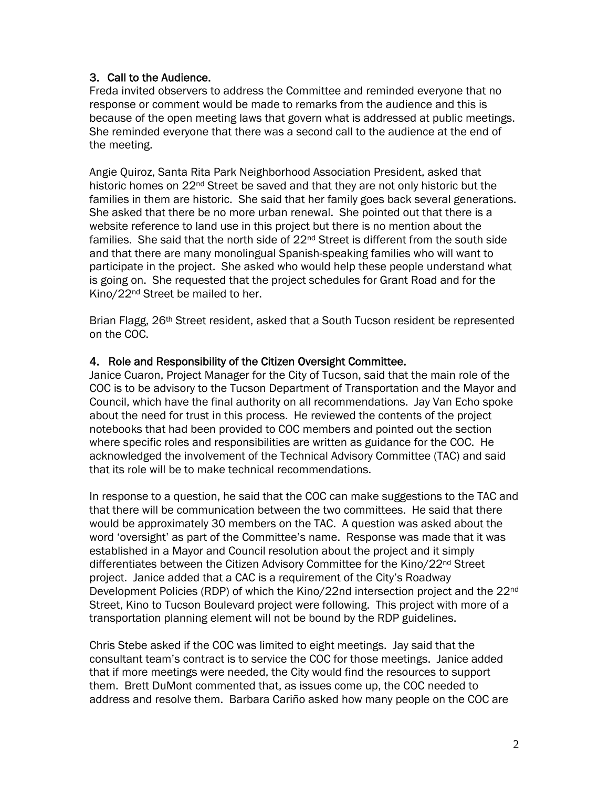### 3. Call to the Audience.

Freda invited observers to address the Committee and reminded everyone that no response or comment would be made to remarks from the audience and this is because of the open meeting laws that govern what is addressed at public meetings. She reminded everyone that there was a second call to the audience at the end of the meeting.

Angie Quiroz, Santa Rita Park Neighborhood Association President, asked that historic homes on 22<sup>nd</sup> Street be saved and that they are not only historic but the families in them are historic. She said that her family goes back several generations. She asked that there be no more urban renewal. She pointed out that there is a website reference to land use in this project but there is no mention about the families. She said that the north side of  $22<sup>nd</sup>$  Street is different from the south side and that there are many monolingual Spanish-speaking families who will want to participate in the project. She asked who would help these people understand what is going on. She requested that the project schedules for Grant Road and for the Kino/22nd Street be mailed to her.

Brian Flagg, 26<sup>th</sup> Street resident, asked that a South Tucson resident be represented on the COC.

#### 4. Role and Responsibility of the Citizen Oversight Committee.

Janice Cuaron, Project Manager for the City of Tucson, said that the main role of the COC is to be advisory to the Tucson Department of Transportation and the Mayor and Council, which have the final authority on all recommendations. Jay Van Echo spoke about the need for trust in this process. He reviewed the contents of the project notebooks that had been provided to COC members and pointed out the section where specific roles and responsibilities are written as guidance for the COC. He acknowledged the involvement of the Technical Advisory Committee (TAC) and said that its role will be to make technical recommendations.

In response to a question, he said that the COC can make suggestions to the TAC and that there will be communication between the two committees. He said that there would be approximately 30 members on the TAC. A question was asked about the word 'oversight' as part of the Committee's name. Response was made that it was established in a Mayor and Council resolution about the project and it simply differentiates between the Citizen Advisory Committee for the Kino/22<sup>nd</sup> Street project. Janice added that a CAC is a requirement of the City's Roadway Development Policies (RDP) of which the Kino/22nd intersection project and the 22nd Street, Kino to Tucson Boulevard project were following. This project with more of a transportation planning element will not be bound by the RDP guidelines.

Chris Stebe asked if the COC was limited to eight meetings. Jay said that the consultant team's contract is to service the COC for those meetings. Janice added that if more meetings were needed, the City would find the resources to support them. Brett DuMont commented that, as issues come up, the COC needed to address and resolve them. Barbara Cariño asked how many people on the COC are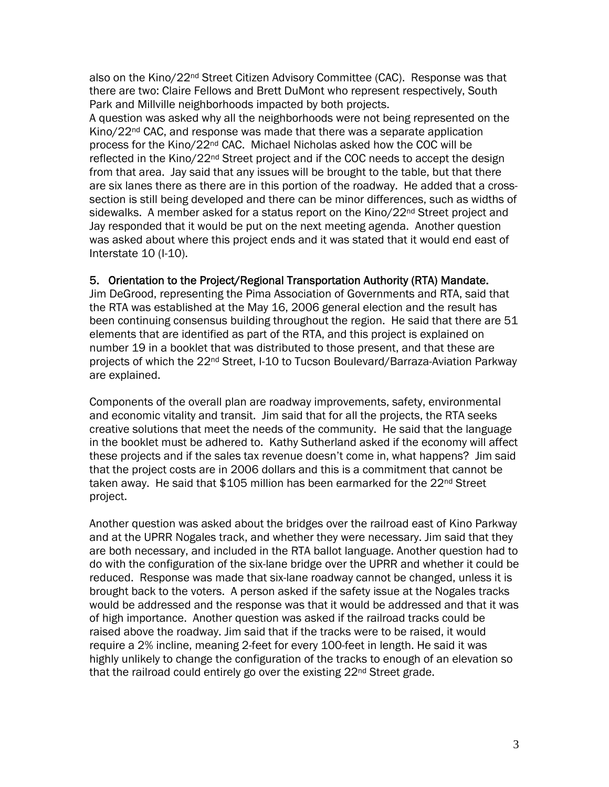also on the Kino/22<sup>nd</sup> Street Citizen Advisory Committee (CAC). Response was that there are two: Claire Fellows and Brett DuMont who represent respectively, South Park and Millville neighborhoods impacted by both projects.

A question was asked why all the neighborhoods were not being represented on the Kino/22<sup>nd</sup> CAC, and response was made that there was a separate application process for the Kino/22<sup>nd</sup> CAC. Michael Nicholas asked how the COC will be reflected in the Kino/22<sup>nd</sup> Street project and if the COC needs to accept the design from that area. Jay said that any issues will be brought to the table, but that there are six lanes there as there are in this portion of the roadway. He added that a crosssection is still being developed and there can be minor differences, such as widths of sidewalks. A member asked for a status report on the Kino/22<sup>nd</sup> Street project and Jay responded that it would be put on the next meeting agenda. Another question was asked about where this project ends and it was stated that it would end east of Interstate 10 (I-10).

#### 5. Orientation to the Project/Regional Transportation Authority (RTA) Mandate.

Jim DeGrood, representing the Pima Association of Governments and RTA, said that the RTA was established at the May 16, 2006 general election and the result has been continuing consensus building throughout the region. He said that there are 51 elements that are identified as part of the RTA, and this project is explained on number 19 in a booklet that was distributed to those present, and that these are projects of which the 22nd Street, I-10 to Tucson Boulevard/Barraza-Aviation Parkway are explained.

Components of the overall plan are roadway improvements, safety, environmental and economic vitality and transit. Jim said that for all the projects, the RTA seeks creative solutions that meet the needs of the community. He said that the language in the booklet must be adhered to. Kathy Sutherland asked if the economy will affect these projects and if the sales tax revenue doesn't come in, what happens? Jim said that the project costs are in 2006 dollars and this is a commitment that cannot be taken away. He said that \$105 million has been earmarked for the 22<sup>nd</sup> Street project.

Another question was asked about the bridges over the railroad east of Kino Parkway and at the UPRR Nogales track, and whether they were necessary. Jim said that they are both necessary, and included in the RTA ballot language. Another question had to do with the configuration of the six-lane bridge over the UPRR and whether it could be reduced. Response was made that six-lane roadway cannot be changed, unless it is brought back to the voters. A person asked if the safety issue at the Nogales tracks would be addressed and the response was that it would be addressed and that it was of high importance. Another question was asked if the railroad tracks could be raised above the roadway. Jim said that if the tracks were to be raised, it would require a 2% incline, meaning 2-feet for every 100-feet in length. He said it was highly unlikely to change the configuration of the tracks to enough of an elevation so that the railroad could entirely go over the existing 22<sup>nd</sup> Street grade.